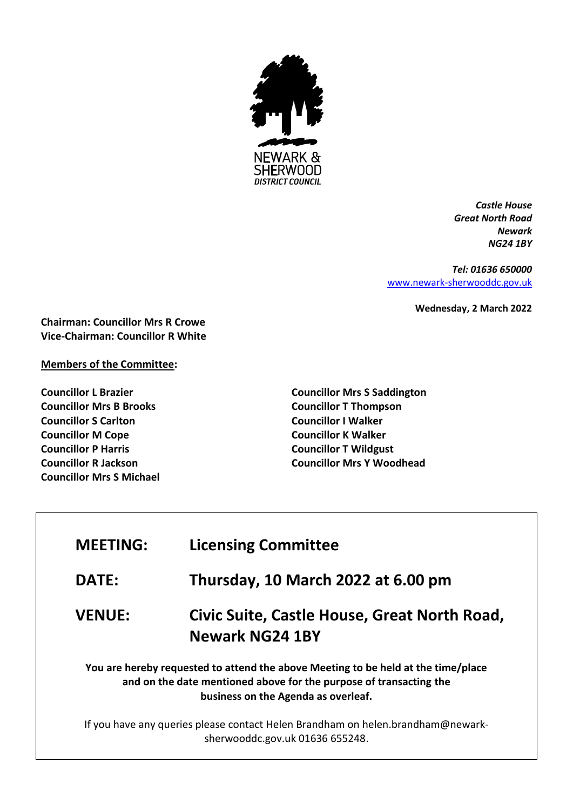

*Castle House Great North Road Newark NG24 1BY*

*Tel: 01636 650000* [www.newark-sherwooddc.gov.uk](http://www.newark-sherwooddc.gov.uk/)

**Wednesday, 2 March 2022**

**Chairman: Councillor Mrs R Crowe Vice-Chairman: Councillor R White**

## **Members of the Committee:**

**Councillor L Brazier Councillor Mrs B Brooks Councillor S Carlton Councillor M Cope Councillor P Harris Councillor R Jackson Councillor Mrs S Michael** **Councillor Mrs S Saddington Councillor T Thompson Councillor I Walker Councillor K Walker Councillor T Wildgust Councillor Mrs Y Woodhead**

| <b>MEETING:</b> | <b>Licensing Committee</b>                                                                                                                                                                     |
|-----------------|------------------------------------------------------------------------------------------------------------------------------------------------------------------------------------------------|
| <b>DATE:</b>    | Thursday, 10 March 2022 at 6.00 pm                                                                                                                                                             |
| <b>VENUE:</b>   | Civic Suite, Castle House, Great North Road,<br><b>Newark NG24 1BY</b>                                                                                                                         |
|                 | You are hereby requested to attend the above Meeting to be held at the time/place<br>and on the date mentioned above for the purpose of transacting the<br>business on the Agenda as overleaf. |
|                 | If you have any queries please contact Helen Brandham on helen.brandham@newark-<br>sherwooddc.gov.uk 01636 655248.                                                                             |